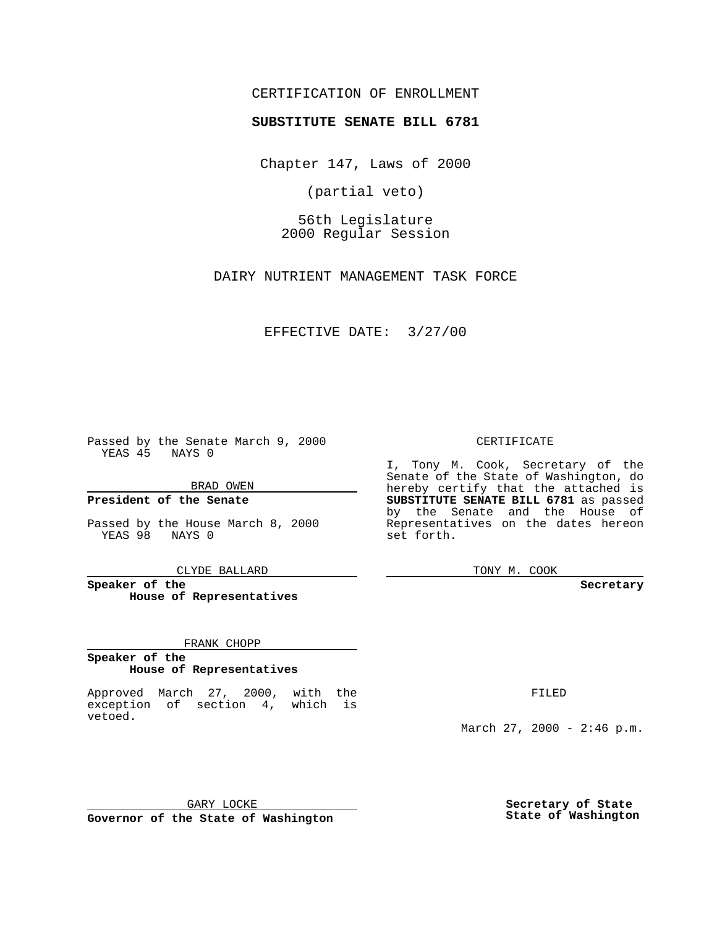## CERTIFICATION OF ENROLLMENT

# **SUBSTITUTE SENATE BILL 6781**

Chapter 147, Laws of 2000

(partial veto)

56th Legislature 2000 Regular Session

DAIRY NUTRIENT MANAGEMENT TASK FORCE

EFFECTIVE DATE: 3/27/00

Passed by the Senate March 9, 2000 YEAS 45 NAYS 0

BRAD OWEN

**President of the Senate**

Passed by the House March 8, 2000 YEAS 98 NAYS 0

CLYDE BALLARD

**Speaker of the House of Representatives**

FRANK CHOPP

#### **Speaker of the House of Representatives**

Approved March 27, 2000, with the exception of section 4, which is vetoed.

CERTIFICATE

I, Tony M. Cook, Secretary of the Senate of the State of Washington, do hereby certify that the attached is **SUBSTITUTE SENATE BILL 6781** as passed by the Senate and the House of Representatives on the dates hereon set forth.

TONY M. COOK

**Secretary**

FILED

March 27, 2000 - 2:46 p.m.

GARY LOCKE **Governor of the State of Washington** **Secretary of State State of Washington**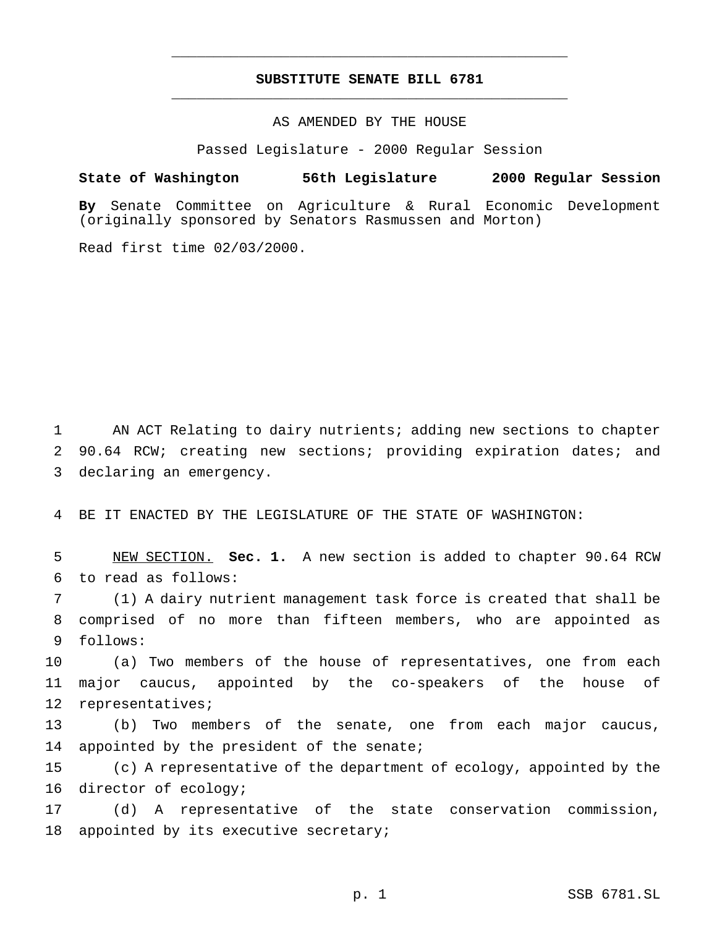## **SUBSTITUTE SENATE BILL 6781** \_\_\_\_\_\_\_\_\_\_\_\_\_\_\_\_\_\_\_\_\_\_\_\_\_\_\_\_\_\_\_\_\_\_\_\_\_\_\_\_\_\_\_\_\_\_\_

\_\_\_\_\_\_\_\_\_\_\_\_\_\_\_\_\_\_\_\_\_\_\_\_\_\_\_\_\_\_\_\_\_\_\_\_\_\_\_\_\_\_\_\_\_\_\_

### AS AMENDED BY THE HOUSE

Passed Legislature - 2000 Regular Session

#### **State of Washington 56th Legislature 2000 Regular Session**

**By** Senate Committee on Agriculture & Rural Economic Development (originally sponsored by Senators Rasmussen and Morton)

Read first time 02/03/2000.

1 AN ACT Relating to dairy nutrients; adding new sections to chapter 2 90.64 RCW; creating new sections; providing expiration dates; and 3 declaring an emergency.

4 BE IT ENACTED BY THE LEGISLATURE OF THE STATE OF WASHINGTON:

5 NEW SECTION. **Sec. 1.** A new section is added to chapter 90.64 RCW 6 to read as follows:

7 (1) A dairy nutrient management task force is created that shall be 8 comprised of no more than fifteen members, who are appointed as 9 follows:

10 (a) Two members of the house of representatives, one from each 11 major caucus, appointed by the co-speakers of the house of 12 representatives;

13 (b) Two members of the senate, one from each major caucus, 14 appointed by the president of the senate;

15 (c) A representative of the department of ecology, appointed by the 16 director of ecology;

17 (d) A representative of the state conservation commission, 18 appointed by its executive secretary;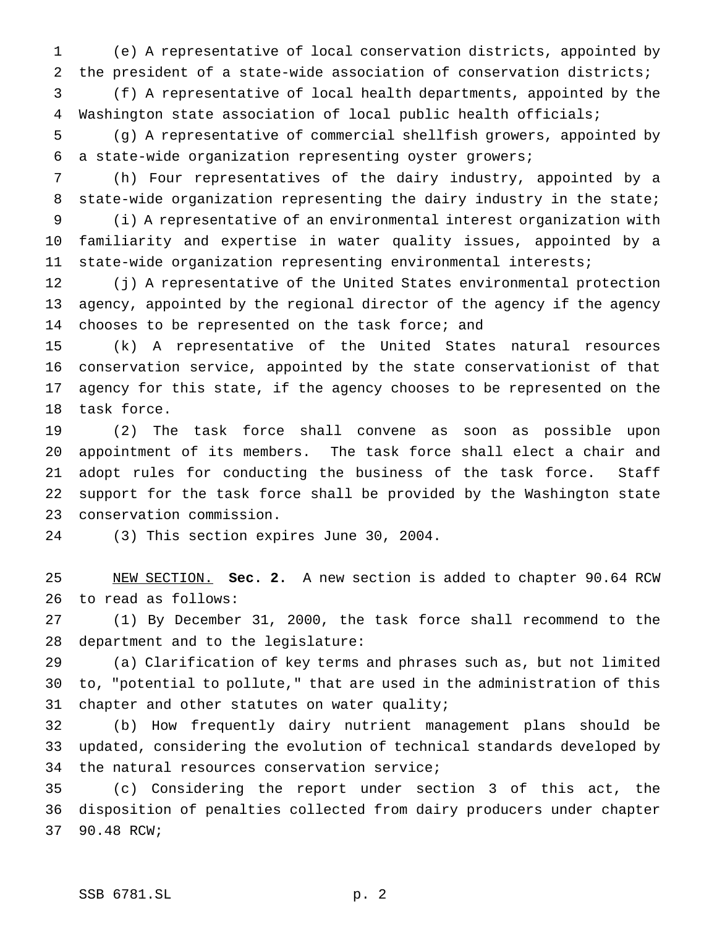(e) A representative of local conservation districts, appointed by the president of a state-wide association of conservation districts;

 (f) A representative of local health departments, appointed by the Washington state association of local public health officials;

 (g) A representative of commercial shellfish growers, appointed by a state-wide organization representing oyster growers;

 (h) Four representatives of the dairy industry, appointed by a 8 state-wide organization representing the dairy industry in the state;

 (i) A representative of an environmental interest organization with familiarity and expertise in water quality issues, appointed by a state-wide organization representing environmental interests;

 (j) A representative of the United States environmental protection agency, appointed by the regional director of the agency if the agency 14 chooses to be represented on the task force; and

 (k) A representative of the United States natural resources conservation service, appointed by the state conservationist of that agency for this state, if the agency chooses to be represented on the task force.

 (2) The task force shall convene as soon as possible upon appointment of its members. The task force shall elect a chair and adopt rules for conducting the business of the task force. Staff support for the task force shall be provided by the Washington state conservation commission.

(3) This section expires June 30, 2004.

 NEW SECTION. **Sec. 2.** A new section is added to chapter 90.64 RCW to read as follows:

 (1) By December 31, 2000, the task force shall recommend to the department and to the legislature:

 (a) Clarification of key terms and phrases such as, but not limited to, "potential to pollute," that are used in the administration of this 31 chapter and other statutes on water quality;

 (b) How frequently dairy nutrient management plans should be updated, considering the evolution of technical standards developed by the natural resources conservation service;

 (c) Considering the report under section 3 of this act, the disposition of penalties collected from dairy producers under chapter 90.48 RCW;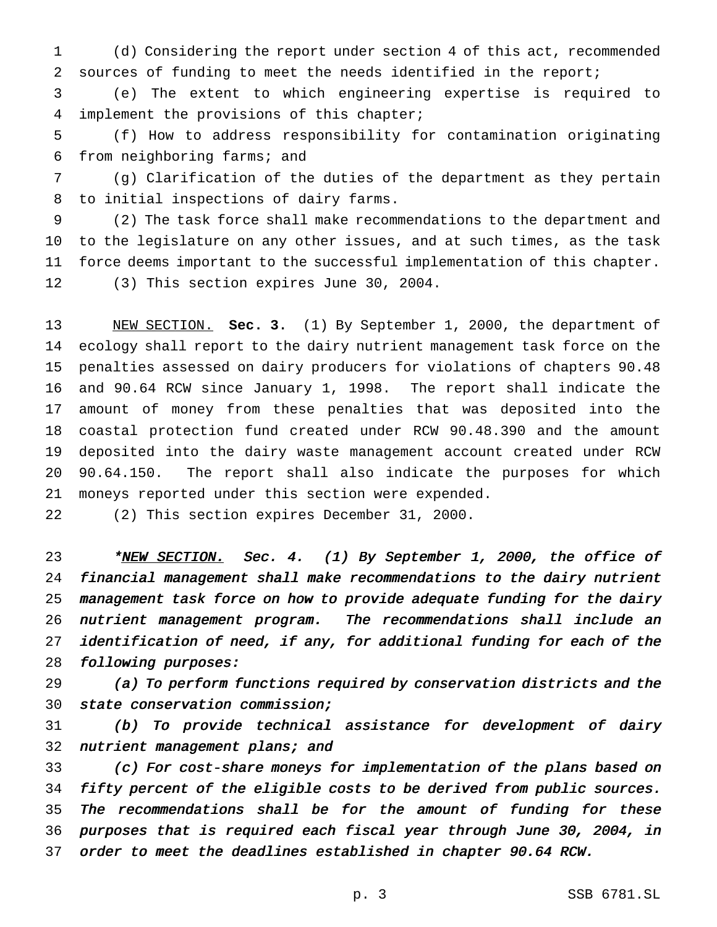(d) Considering the report under section 4 of this act, recommended sources of funding to meet the needs identified in the report;

 (e) The extent to which engineering expertise is required to implement the provisions of this chapter;

 (f) How to address responsibility for contamination originating from neighboring farms; and

 (g) Clarification of the duties of the department as they pertain to initial inspections of dairy farms.

 (2) The task force shall make recommendations to the department and to the legislature on any other issues, and at such times, as the task force deems important to the successful implementation of this chapter. (3) This section expires June 30, 2004.

 NEW SECTION. **Sec. 3.** (1) By September 1, 2000, the department of ecology shall report to the dairy nutrient management task force on the penalties assessed on dairy producers for violations of chapters 90.48 and 90.64 RCW since January 1, 1998. The report shall indicate the amount of money from these penalties that was deposited into the coastal protection fund created under RCW 90.48.390 and the amount deposited into the dairy waste management account created under RCW 90.64.150. The report shall also indicate the purposes for which moneys reported under this section were expended.

(2) This section expires December 31, 2000.

23 \*NEW SECTION. Sec. 4. (1) By September 1, 2000, the office of financial management shall make recommendations to the dairy nutrient management task force on how to provide adequate funding for the dairy nutrient management program. The recommendations shall include an identification of need, if any, for additional funding for each of the following purposes:

 (a) To perform functions required by conservation districts and the state conservation commission;

 (b) To provide technical assistance for development of dairy 32 nutrient management plans; and

 (c) For cost-share moneys for implementation of the plans based on fifty percent of the eligible costs to be derived from public sources. 35 The recommendations shall be for the amount of funding for these purposes that is required each fiscal year through June 30, 2004, in order to meet the deadlines established in chapter 90.64 RCW.